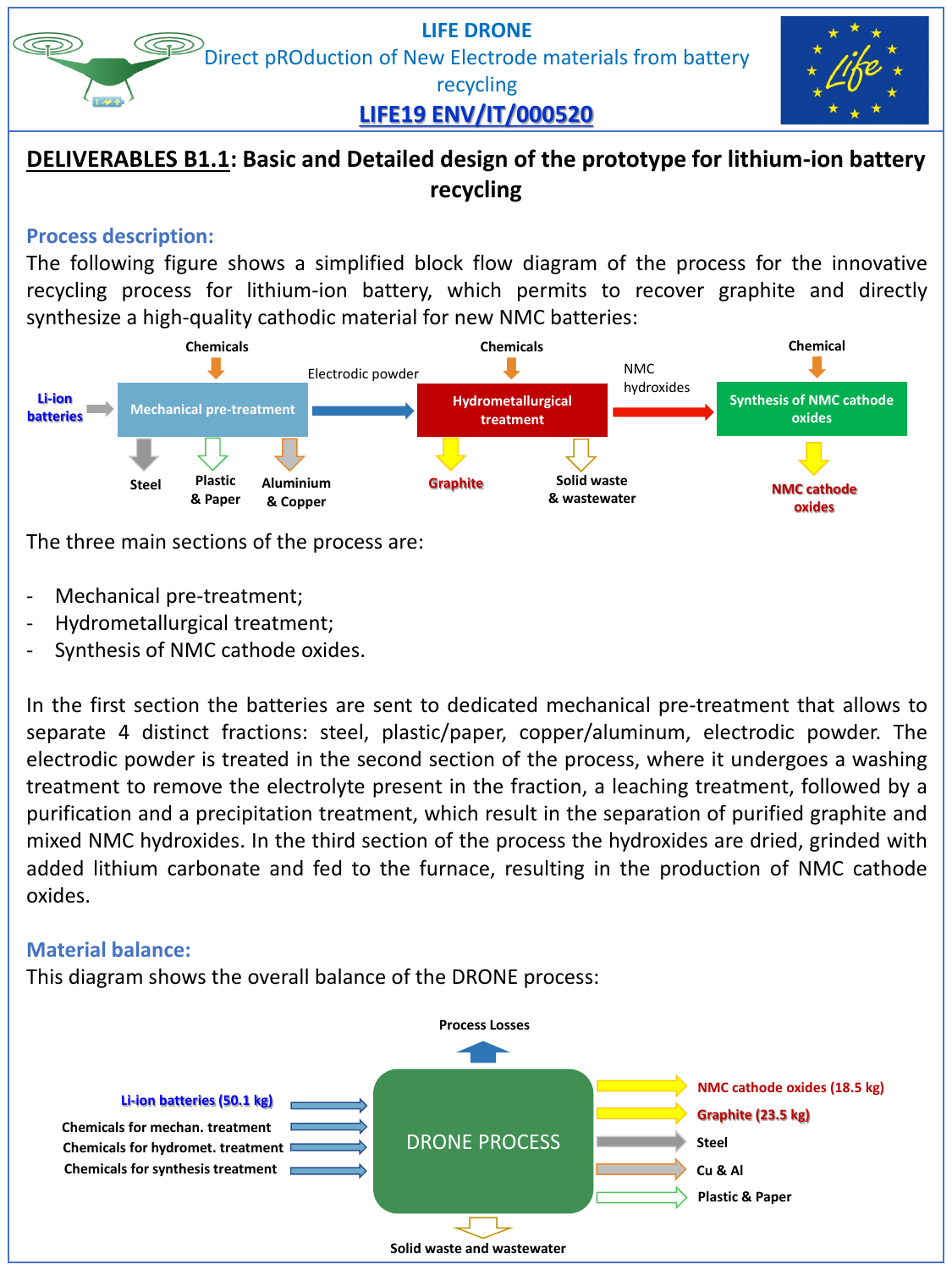#### **LIFE DRONE** Direct pROduction of New Electrode materials from battery

## **LIFE19 ENV/IT/000520**

recycling

## **DELIVERABLES B1.1: Basic and Detailed design of the prototype for lithium-ion battery recycling**

#### **Process description:**

The following figure shows a simplified block flow diagram of the process for the innovative recycling process for lithium-ion battery, which permits to recover graphite and directly synthesize a high-quality cathodic material for new NMC batteries:



The three main sections of the process are:

- Mechanical pre-treatment;
- Hydrometallurgical treatment;
- Synthesis of NMC cathode oxides.

In the first section the batteries are sent to dedicated mechanical pre-treatment that allows to separate 4 distinct fractions: steel, plastic/paper, copper/aluminum, electrodic powder. The electrodic powder is treated in the second section of the process, where it undergoes a washing treatment to remove the electrolyte present in the fraction, a leaching treatment, followed by a purification and a precipitation treatment, which result in the separation of purified graphite and mixed NMC hydroxides. In the third section of the process the hydroxides are dried, grinded with added lithium carbonate and fed to the furnace, resulting in the production of NMC cathode oxides.

### **Material balance:**

This diagram shows the overall balance of the DRONE process:

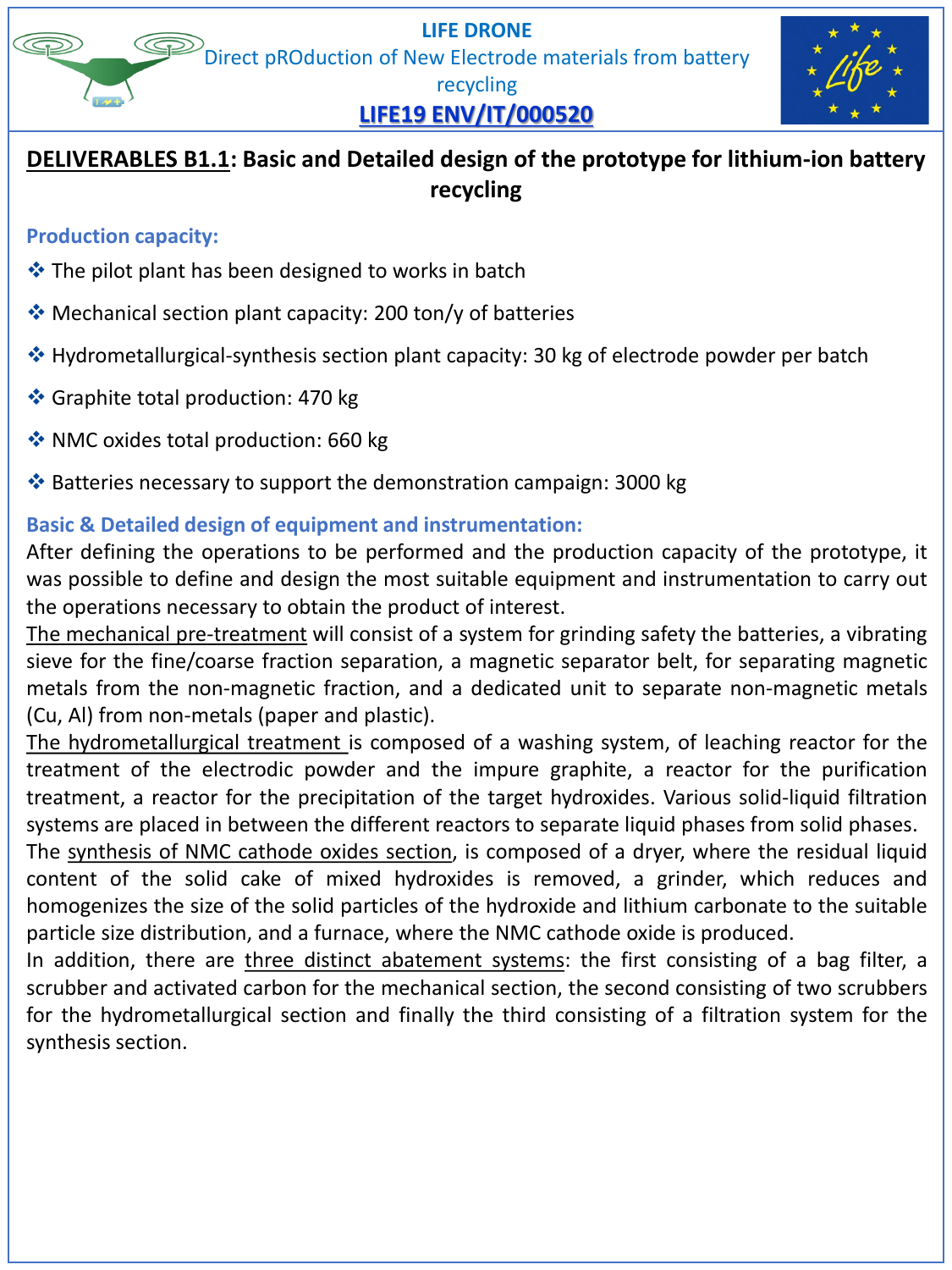**LIFE DRONE** Direct pROduction of New Electrode materials from battery recycling



# **LIFE19 ENV/IT/000520**

## **DELIVERABLES B1.1: Basic and Detailed design of the prototype for lithium-ion battery recycling**

#### **Production capacity:**

- ❖ The pilot plant has been designed to works in batch
- ❖ Mechanical section plant capacity: 200 ton/y of batteries
- ❖ Hydrometallurgical-synthesis section plant capacity: 30 kg of electrode powder per batch
- ❖ Graphite total production: 470 kg
- ❖ NMC oxides total production: 660 kg
- ❖ Batteries necessary to support the demonstration campaign: 3000 kg

### **Basic & Detailed design of equipment and instrumentation:**

After defining the operations to be performed and the production capacity of the prototype, it was possible to define and design the most suitable equipment and instrumentation to carry out the operations necessary to obtain the product of interest.

The mechanical pre-treatment will consist of a system for grinding safety the batteries, a vibrating sieve for the fine/coarse fraction separation, a magnetic separator belt, for separating magnetic metals from the non-magnetic fraction, and a dedicated unit to separate non-magnetic metals (Cu, Al) from non-metals (paper and plastic).

The hydrometallurgical treatment is composed of a washing system, of leaching reactor for the treatment of the electrodic powder and the impure graphite, a reactor for the purification treatment, a reactor for the precipitation of the target hydroxides. Various solid-liquid filtration systems are placed in between the different reactors to separate liquid phases from solid phases.

The synthesis of NMC cathode oxides section, is composed of a dryer, where the residual liquid content of the solid cake of mixed hydroxides is removed, a grinder, which reduces and homogenizes the size of the solid particles of the hydroxide and lithium carbonate to the suitable particle size distribution, and a furnace, where the NMC cathode oxide is produced.

In addition, there are three distinct abatement systems: the first consisting of a bag filter, a scrubber and activated carbon for the mechanical section, the second consisting of two scrubbers for the hydrometallurgical section and finally the third consisting of a filtration system for the synthesis section.